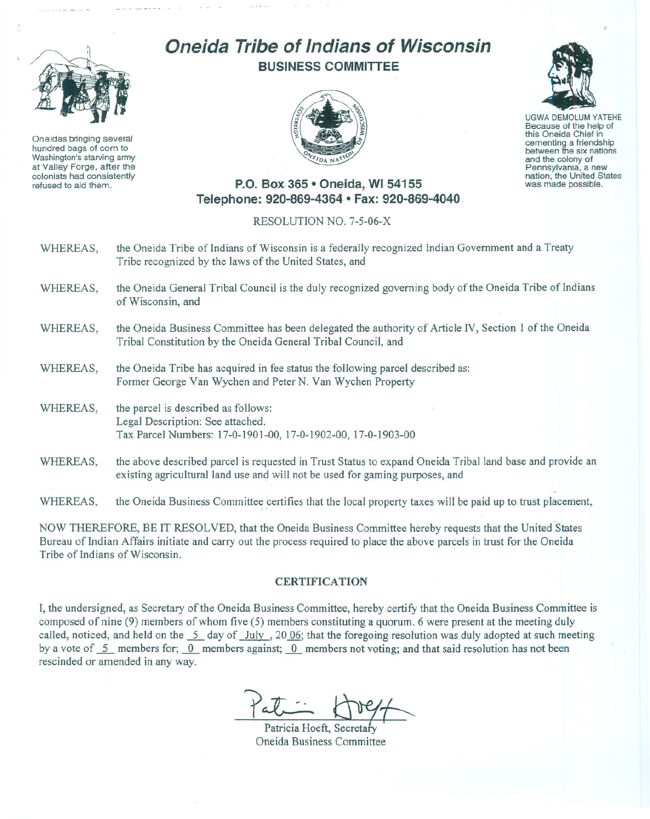

Oneidas bringing several hundred bags of corn to Washington's starving army at Valley Forge, after the colonists had consistently refused to aid them.

## **Oneida Tribe of Indians of Wisconsin BUSINESS COMMITTEE**



UGWA DEMOLUM YATEHE Because of the help of this Oneida Chief in cementing <sup>a</sup> friendship between the six nations and the colony of<br>Pennsylvania, a new nation, the United States was made possible.

## **P.O.** Box: 365 **• Oneida,** WI 54155 **Telephone: 920-869-4364 • Fax: 920-869-4040**

## RESOLUTION NO. 7-5-06-X

| WHEREAS, | the Oneida Tribe of Indians of Wisconsin is a federally recognized Indian Government and a Treaty<br>Tribe recognized by the laws of the United States, and                              |
|----------|------------------------------------------------------------------------------------------------------------------------------------------------------------------------------------------|
| WHEREAS, | the Oneida General Tribal Council is the duly recognized governing body of the Oneida Tribe of Indians<br>of Wisconsin, and                                                              |
| WHEREAS, | the Oneida Business Committee has been delegated the authority of Article IV, Section 1 of the Oneida<br>Tribal Constitution by the Oneida General Tribal Council, and                   |
| WHEREAS, | the Oneida Tribe has acquired in fee status the following parcel described as:<br>Former George Van Wychen and Peter N. Van Wychen Property                                              |
| WHEREAS, | the parcel is described as follows:<br>Legal Description: See attached.<br>Tax Parcel Numbers: 17-0-1901-00, 17-0-1902-00, 17-0-1903-00                                                  |
| WHEREAS, | the above described parcel is requested in Trust Status to expand Oneida Tribal land base and provide an<br>existing agricultural land use and will not be used for gaming purposes, and |
| WHEREAS, | the Oneida Business Committee certifies that the local property taxes will be paid up to trust placement,                                                                                |

NOW THEREFORE, BE IT RESOLVED, that the Oneida Business Committee hereby requests that the United States Bureau of Indian Affairs initiate and carry out the process required to place the above parcels in trust for the Oneida Tribe of Indians of Wisconsin.

## **CERTIFICATION**

I, the undersigned, as Secretary of the Oneida Business Committee, hereby certify that the Oneida Business Committee is composed of nine (9) members of whom five (5) members constituting a quorum. 6 were present at the meeting duly called, noticed, and held on the  $\frac{5}{2}$  day of July, 2006; that the foregoing resolution was duly adopted at such meeting by a vote of 5 members for; 0 members against; 0 members not voting; and that said resolution has not been rescinded or amended in any way.

 $\frac{1}{\sqrt{\frac{2}{\pi^{2}}} \cdot \frac{1}{\sqrt{2}}}}$ Patricia Hoeft, Secretary

Oneida Business Committee